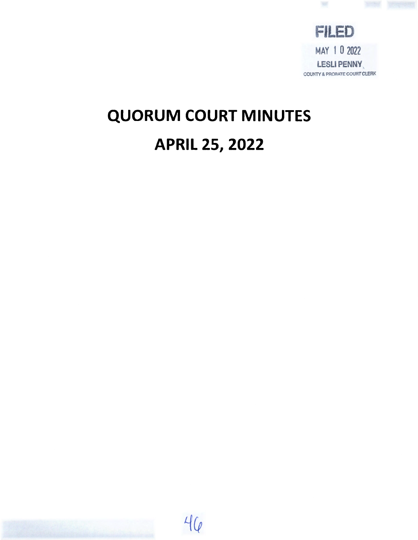

# **QUORUM COURT MINUTES APRIL 25, 2022**

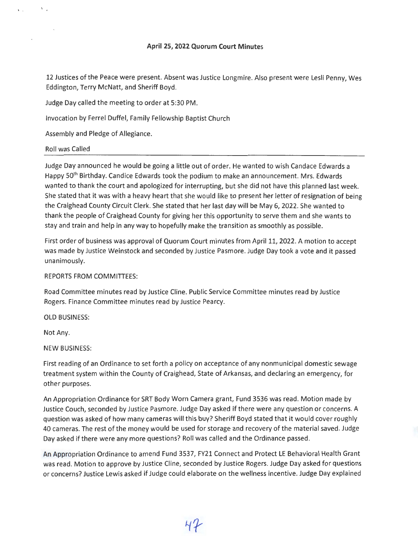# **April 25, 2022 Quorum Court Minutes**

12 Justices of the Peace were present. Absent was Justice Longmire. Also present were Lesli Penny, Wes Eddington, Terry McNatt, and Sheriff Boyd.

Judge Day called the meeting to order at 5:30 PM .

Invocation by Ferrel Duffel, Family Fellowship Baptist Church

Assembly and Pledge of Allegiance.

## Roll was Called

 $\mathbf{v}_{\rm{max}}$ 

 $\mathcal{N}_{\mathcal{A}}$ 

Judge Day announced he would be going a little out of order. He wanted to wish Candace Edwards a Happy 50<sup>th</sup> Birthday. Candice Edwards took the podium to make an announcement. Mrs. Edwards wanted to thank the court and apologized for interrupting, but she did not have this planned last week. She stated that it was with a heavy heart that she would like to present her letter of resignation of being the Craighead County Circuit Clerk. She stated that her last day will be May 6, 2022. She wanted to thank the people of Craighead County for giving her this opportunity to serve them and she wants to stay and train and help in any way to hopefully make the transition as smoothly as possible.

First order of business was approval of Quorum Court minutes from April 11, 2022. A motion to accept was made by Justice Weinstock and seconded by Justice Pasmore. Judge Day took a vote and it passed unanimously.

## REPORTS FROM COMMITTEES:

Road Committee minutes read by Justice Cline. Public Service Committee minutes read by Justice Rogers. Finance Committee minutes read by Justice Pearcy.

**OLD BUSINESS:** 

Not Any.

**NEW BUSINESS:** 

First reading of an Ordinance to set forth a policy on acceptance of any nonmunicipal domestic sewage treatment system within the County of Craighead, State of Arkansas, and declaring an emergency, for other purposes.

An Appropriation Ordinance for SRT Body Worn Camera grant, Fund 3536 was read. Motion made by Justice Couch, seconded by Justice Pasmore. Judge Day asked if there were any question or concerns. A question was asked of how many cameras will this buy? Sheriff Boyd stated that it would cover roughly 40 cameras. The rest of the money would be used for storage and recovery of the material saved. Judge Day asked if there were any more questions? Roll was called and the Ordinance passed.

An Appropriation Ordinance to amend Fund 3537, FY21 Connect and Protect LE Behavioral Health Grant was read. Motion to approve by Justice Cline, seconded by Justice Rogers. Judge Day asked for questions or concerns? Justice Lewis asked if Judge could elaborate on the wellness incentive. Judge Day explained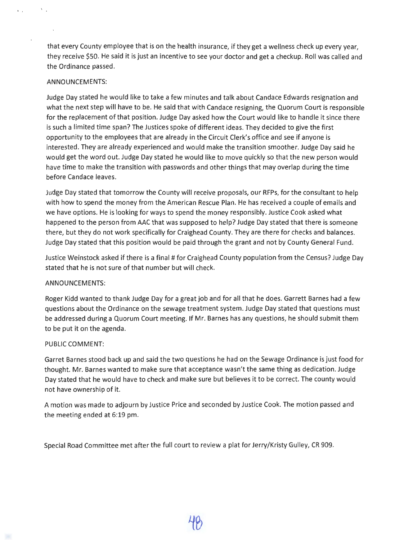that every County employee that is on the health insurance, if they get a wellness check up every year, they receive \$50. He said it is just an incentive to see your doctor and get a checkup. Roll was called and the Ordinance passed.

# **ANNOUNCEMENTS:**

 $\Delta$  .

 $\mathbf{v} = \mathbf{v}$ 

Judge Day stated he would like to take a few minutes and talk about Candace Edwards resignation and what the next step will have to be. He said that with Candace resigning, the Quorum Court is responsible for the replacement of that position. Judge Day asked how the Court would like to handle it since there is such a limited time span? The Justices spoke of different ideas. They decided to give the first opportunity to the employees that are already in the Circuit Clerk's office and see if anyone is interested. They are already experienced and would make the transition smoother. Judge Day said he would get the word out. Judge Day stated he would like to move quickly so that the new person would have time to make the transition with passwords and other things that may overlap during the time before Candace leaves.

Judge Day stated that tomorrow the County will receive proposals, our RFPs, for the consultant to help with how to spend the money from the American Rescue Plan. He has received a couple of emails and we have options. He is looking for ways to spend the money responsibly. Justice Cook asked what happened to the person from AAC that was supposed to help? Judge Day stated that there is someone there, but they do not work specifically for Craighead County. They are there for checks and balances. Judge Day stated that this position would be paid through the grant and not by County General Fund.

Justice Weinstock asked if there is a final# for Craighead County population from the Census? Judge Day stated that he is not sure of that number but will check.

# **ANNOUNCEMENTS:**

Roger Kidd wanted to thank Judge Day for a great job and for all that he does. Garrett Barnes had a few questions about the Ordinance on the sewage treatment system. Judge Day stated that questions must be addressed during a Quorum Court meeting. If Mr. Barnes has any questions, he should submit them to be put it on the agenda.

# PUBLIC **COMMENT:**

Garret Barnes stood back up and said the two questions he had on the Sewage Ordinance is just food for thought. Mr. Barnes wanted to make sure that acceptance wasn't the same thing as dedication. Judge Day stated that he would have to check and make sure but believes it to be correct. The county would not have ownership of it.

A motion was made to adjourn by Justice Price and seconded by Justice Cook. The motion passed and the meeting ended at 6:19 pm.

Special Road Committee met after the full court to review a plat for Jerry/Kristy Gulley, CR 909.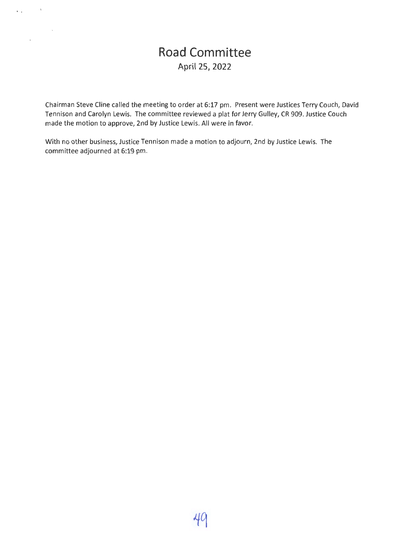# **Road Committee April 25, 2022**

 $\mathbf{r}$  ,  $\mathbf{r}$  ,  $\mathbf{r}$ 

 $\mathcal{A}$ 

 $\sim$   $\sim$ 

Chairman Steve Cline called the meeting to order at 6:17 pm. Present were Justices Terry Couch, David Tennison and Carolyn Lewis. The committee reviewed a plat for Jerry Gulley, CR 909. Justice Couch made the motion to approve, 2nd by Justice Lewis. All were in favor.

With no other business, Justice Tennison made a motion to adjourn, 2nd by Justice Lewis. The committee adjourned at 6:19 pm.